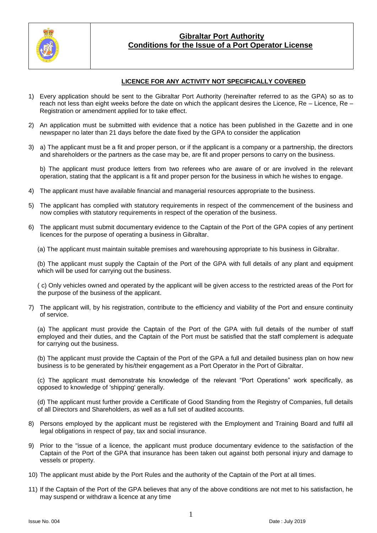

### **Gibraltar Port Authority Conditions for the Issue of a Port Operator License**

### **LICENCE FOR ANY ACTIVITY NOT SPECIFICALLY COVERED**

- 1) Every application should be sent to the Gibraltar Port Authority (hereinafter referred to as the GPA) so as to reach not less than eight weeks before the date on which the applicant desires the Licence, Re – Licence, Re – Registration or amendment applied for to take effect.
- 2) An application must be submitted with evidence that a notice has been published in the Gazette and in one newspaper no later than 21 days before the date fixed by the GPA to consider the application
- 3) a) The applicant must be a fit and proper person, or if the applicant is a company or a partnership, the directors and shareholders or the partners as the case may be, are fit and proper persons to carry on the business.

b) The applicant must produce letters from two referees who are aware of or are involved in the relevant operation, stating that the applicant is a fit and proper person for the business in which he wishes to engage.

- 4) The applicant must have available financial and managerial resources appropriate to the business.
- 5) The applicant has complied with statutory requirements in respect of the commencement of the business and now complies with statutory requirements in respect of the operation of the business.
- 6) The applicant must submit documentary evidence to the Captain of the Port of the GPA copies of any pertinent licences for the purpose of operating a business in Gibraltar.
	- (a) The applicant must maintain suitable premises and warehousing appropriate to his business in Gibraltar.

(b) The applicant must supply the Captain of the Port of the GPA with full details of any plant and equipment which will be used for carrying out the business.

( c) Only vehicles owned and operated by the applicant will be given access to the restricted areas of the Port for the purpose of the business of the applicant.

7) The applicant will, by his registration, contribute to the efficiency and viability of the Port and ensure continuity of service.

(a) The applicant must provide the Captain of the Port of the GPA with full details of the number of staff employed and their duties, and the Captain of the Port must be satisfied that the staff complement is adequate for carrying out the business.

(b) The applicant must provide the Captain of the Port of the GPA a full and detailed business plan on how new business is to be generated by his/their engagement as a Port Operator in the Port of Gibraltar.

(c) The applicant must demonstrate his knowledge of the relevant "Port Operations" work specifically, as opposed to knowledge of 'shipping' generally.

(d) The applicant must further provide a Certificate of Good Standing from the Registry of Companies, full details of all Directors and Shareholders, as well as a full set of audited accounts.

- 8) Persons employed by the applicant must be registered with the Employment and Training Board and fulfil all legal obligations in respect of pay, tax and social insurance.
- 9) Prior to the "issue of a licence, the applicant must produce documentary evidence to the satisfaction of the Captain of the Port of the GPA that insurance has been taken out against both personal injury and damage to vessels or property.
- 10) The applicant must abide by the Port Rules and the authority of the Captain of the Port at all times.
- 11) If the Captain of the Port of the GPA believes that any of the above conditions are not met to his satisfaction, he may suspend or withdraw a licence at any time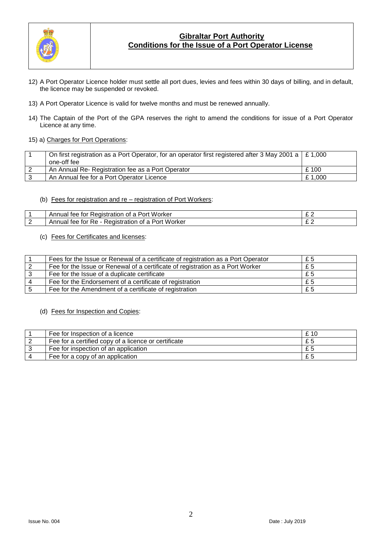

# **Gibraltar Port Authority Conditions for the Issue of a Port Operator License**

- 12) A Port Operator Licence holder must settle all port dues, levies and fees within 30 days of billing, and in default, the licence may be suspended or revoked.
- 13) A Port Operator Licence is valid for twelve months and must be renewed annually.
- 14) The Captain of the Port of the GPA reserves the right to amend the conditions for issue of a Port Operator Licence at any time.
- 15) a) Charges for Port Operations:

| On first registration as a Port Operator, for an operator first registered after 3 May 2001 a $\mid$ £ 1,000 |        |
|--------------------------------------------------------------------------------------------------------------|--------|
| one-off fee                                                                                                  |        |
| An Annual Re- Registration fee as a Port Operator                                                            | £ 100  |
| An Annual fee for a Port Operator Licence                                                                    | £1,000 |

#### (b) Fees for registration and re – registration of Port Workers:

| .<br>Worker<br>11 nn 11<br>t∩r<br>'ANIS,<br>Tee<br><u>.</u><br>mnuai<br>חי′<br>ганоп<br>OL        | ~ ~ |
|---------------------------------------------------------------------------------------------------|-----|
| . Worker<br>$\sim$<br>Port<br>TOI<br>Οt<br>.ee<br><b>Registra</b><br>ation<br>- Annual<br>₹e<br>ີ | ~ ~ |

#### (c) Fees for Certificates and licenses:

|   | Fees for the Issue or Renewal of a certificate of registration as a Port Operator | £5  |
|---|-----------------------------------------------------------------------------------|-----|
|   | Fee for the Issue or Renewal of a certificate of registration as a Port Worker    | £5  |
|   | Fee for the Issue of a duplicate certificate                                      | £5  |
|   | Fee for the Endorsement of a certificate of registration                          | £ 5 |
| 5 | Fee for the Amendment of a certificate of registration                            | £5  |

# (d) Fees for Inspection and Copies:

| Fee for Inspection of a licence                      | £ 10 |
|------------------------------------------------------|------|
| Fee for a certified copy of a licence or certificate | £5   |
| Fee for inspection of an application                 | £5   |
| Fee for a copy of an application                     | £5   |